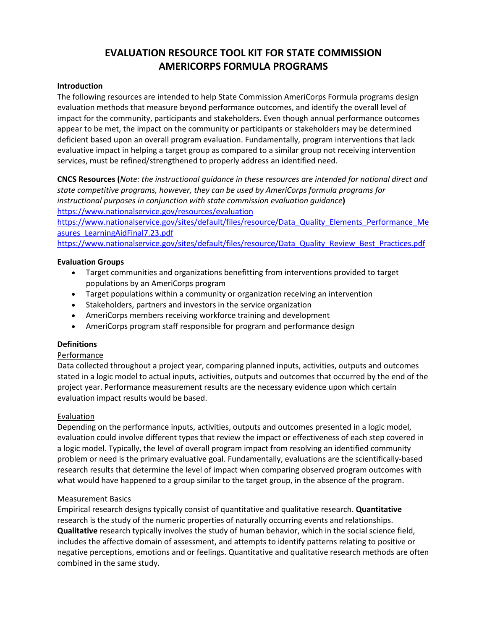# **EVALUATION RESOURCE TOOL KIT FOR STATE COMMISSION AMERICORPS FORMULA PROGRAMS**

### **Introduction**

The following resources are intended to help State Commission AmeriCorps Formula programs design evaluation methods that measure beyond performance outcomes, and identify the overall level of impact for the community, participants and stakeholders. Even though annual performance outcomes appear to be met, the impact on the community or participants or stakeholders may be determined deficient based upon an overall program evaluation. Fundamentally, program interventions that lack evaluative impact in helping a target group as compared to a similar group not receiving intervention services, must be refined/strengthened to properly address an identified need.

**CNCS Resources (***Note: the instructional guidance in these resources are intended for national direct and state competitive programs, however, they can be used by AmeriCorps formula programs for instructional purposes in conjunction with state commission evaluation guidance***)** <https://www.nationalservice.gov/resources/evaluation>

[https://www.nationalservice.gov/sites/default/files/resource/Data\\_Quality\\_Elements\\_Performance\\_Me](https://www.nationalservice.gov/sites/default/files/resource/Data_Quality_Elements_Performance_Measures_LearningAidFinal7.23.pdf) [asures\\_LearningAidFinal7.23.pdf](https://www.nationalservice.gov/sites/default/files/resource/Data_Quality_Elements_Performance_Measures_LearningAidFinal7.23.pdf)

[https://www.nationalservice.gov/sites/default/files/resource/Data\\_Quality\\_Review\\_Best\\_Practices.pdf](https://www.nationalservice.gov/sites/default/files/resource/Data_Quality_Review_Best_Practices.pdf)

#### **Evaluation Groups**

- Target communities and organizations benefitting from interventions provided to target populations by an AmeriCorps program
- Target populations within a community or organization receiving an intervention
- Stakeholders, partners and investors in the service organization
- AmeriCorps members receiving workforce training and development
- AmeriCorps program staff responsible for program and performance design

#### **Definitions**

#### Performance

Data collected throughout a project year, comparing planned inputs, activities, outputs and outcomes stated in a logic model to actual inputs, activities, outputs and outcomes that occurred by the end of the project year. Performance measurement results are the necessary evidence upon which certain evaluation impact results would be based.

#### Evaluation

Depending on the performance inputs, activities, outputs and outcomes presented in a logic model, evaluation could involve different types that review the impact or effectiveness of each step covered in a logic model. Typically, the level of overall program impact from resolving an identified community problem or need is the primary evaluative goal. Fundamentally, evaluations are the scientifically-based research results that determine the level of impact when comparing observed program outcomes with what would have happened to a group similar to the target group, in the absence of the program.

#### Measurement Basics

Empirical research designs typically consist of quantitative and qualitative research. **Quantitative**  research is the study of the numeric properties of naturally occurring events and relationships. **Qualitative** research typically involves the study of human behavior, which in the social science field, includes the affective domain of assessment, and attempts to identify patterns relating to positive or negative perceptions, emotions and or feelings. Quantitative and qualitative research methods are often combined in the same study.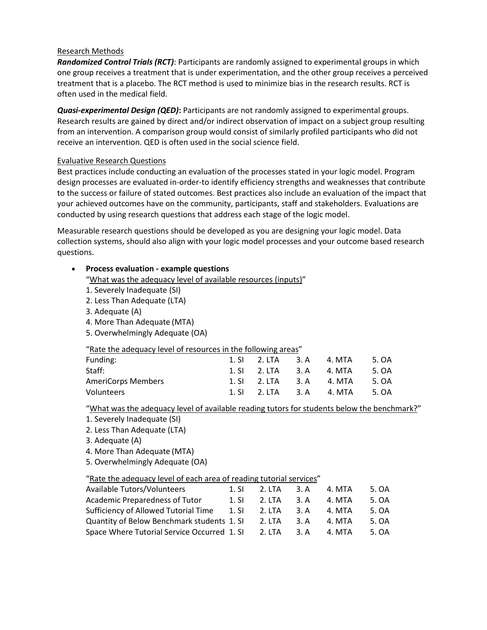## Research Methods

*Randomized Control Trials (RCT)*: Participants are randomly assigned to experimental groups in which one group receives a treatment that is under experimentation, and the other group receives a perceived treatment that is a placebo. The RCT method is used to minimize bias in the research results. RCT is often used in the medical field.

*Quasi-experimental Design (QED)***:** Participants are not randomly assigned to experimental groups. Research results are gained by direct and/or indirect observation of impact on a subject group resulting from an intervention. A comparison group would consist of similarly profiled participants who did not receive an intervention. QED is often used in the social science field.

# Evaluative Research Questions

Best practices include conducting an evaluation of the processes stated in your logic model. Program design processes are evaluated in-order-to identify efficiency strengths and weaknesses that contribute to the success or failure of stated outcomes. Best practices also include an evaluation of the impact that your achieved outcomes have on the community, participants, staff and stakeholders. Evaluations are conducted by using research questions that address each stage of the logic model.

Measurable research questions should be developed as you are designing your logic model. Data collection systems, should also align with your logic model processes and your outcome based research questions.

# • **Process evaluation - example questions**

"What was the adequacy level of available resources (inputs)"

- 1. Severely Inadequate (SI)
- 2. Less Than Adequate (LTA)
- 3. Adequate (A)
- 4. More Than Adequate (MTA)
- 5. Overwhelmingly Adequate (OA)

## "Rate the adequacy level of resources in the following areas"

| Funding:                  | 1. SI 2. LTA 3. A 4. MTA |  | 5. OA |
|---------------------------|--------------------------|--|-------|
| Staff:                    | 1. SI 2. LTA 3. A 4. MTA |  | 5. OA |
| <b>AmeriCorps Members</b> | 1. SI 2. LTA 3. A 4. MTA |  | 5. OA |
| Volunteers                | 1. SI 2. LTA 3. A 4. MTA |  | 5. OA |

"What was the adequacy level of available reading tutors for students below the benchmark?"

- 1. Severely Inadequate (SI)
- 2. Less Than Adequate (LTA)
- 3. Adequate (A)
- 4. More Than Adequate (MTA)
- 5. Overwhelmingly Adequate (OA)

## "Rate the adequacy level of each area of reading tutorial services"

| <b>Available Tutors/Volunteers</b>          | 1.51  | 2. LTA | 3. A | 4. MTA | 5. OA |
|---------------------------------------------|-------|--------|------|--------|-------|
| Academic Preparedness of Tutor              | 1. S1 | 2. LTA | 3. A | 4. MTA | 5. OA |
| Sufficiency of Allowed Tutorial Time        | 1. SI | 2. LTA | 3. A | 4. MTA | 5. OA |
| Quantity of Below Benchmark students 1. SI  |       | 2. LTA | 3. A | 4. MTA | 5. OA |
| Space Where Tutorial Service Occurred 1. SI |       | 2. LTA | 3. A | 4. MTA | 5. OA |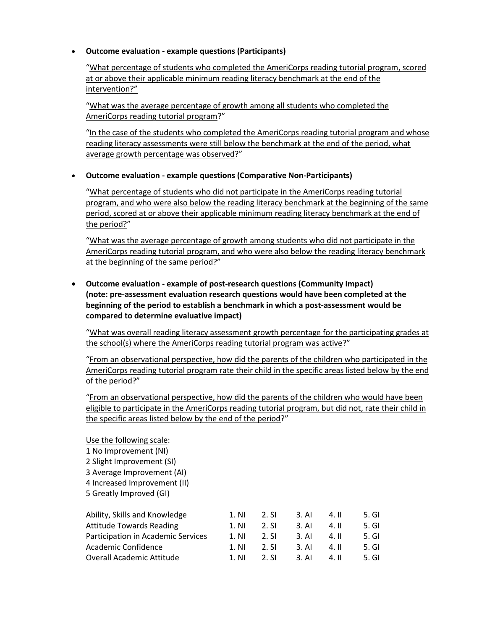# • **Outcome evaluation - example questions (Participants)**

"What percentage of students who completed the AmeriCorps reading tutorial program, scored at or above their applicable minimum reading literacy benchmark at the end of the intervention?"

"What was the average percentage of growth among all students who completed the AmeriCorps reading tutorial program?"

"In the case of the students who completed the AmeriCorps reading tutorial program and whose reading literacy assessments were still below the benchmark at the end of the period, what average growth percentage was observed?"

# • **Outcome evaluation - example questions (Comparative Non-Participants)**

"What percentage of students who did not participate in the AmeriCorps reading tutorial program, and who were also below the reading literacy benchmark at the beginning of the same period, scored at or above their applicable minimum reading literacy benchmark at the end of the period?"

"What was the average percentage of growth among students who did not participate in the AmeriCorps reading tutorial program, and who were also below the reading literacy benchmark at the beginning of the same period?"

• **Outcome evaluation - example of post-research questions (Community Impact) (note: pre-assessment evaluation research questions would have been completed at the beginning of the period to establish a benchmark in which a post-assessment would be compared to determine evaluative impact)**

"What was overall reading literacy assessment growth percentage for the participating grades at the school(s) where the AmeriCorps reading tutorial program was active?"

"From an observational perspective, how did the parents of the children who participated in the AmeriCorps reading tutorial program rate their child in the specific areas listed below by the end of the period?"

"From an observational perspective, how did the parents of the children who would have been eligible to participate in the AmeriCorps reading tutorial program, but did not, rate their child in the specific areas listed below by the end of the period?"

- Use the following scale:
- 1 No Improvement (NI)
- 2 Slight Improvement (SI)
- 3 Average Improvement (AI)
- 4 Increased Improvement (II)
- 5 Greatly Improved (GI)

| Ability, Skills and Knowledge      | 1. N <sub>1</sub> | 2. SI | 3. AI            | 4. II | 5. GI  |
|------------------------------------|-------------------|-------|------------------|-------|--------|
| <b>Attitude Towards Reading</b>    | 1. N <sub>l</sub> | 2. SI | 3. AI            | 4. II | 5. GI  |
| Participation in Academic Services | 1. N <sub>l</sub> | 2. SI | $3. \mathsf{Al}$ | 4. II | 5. GI  |
| Academic Confidence                | 1. NI             | 2. SI | 3. AI            | 4. II | 5. GI  |
| Overall Academic Attitude          | 1. NI             | 2. SI | $3. \mathsf{Al}$ | 4. II | .5. GL |